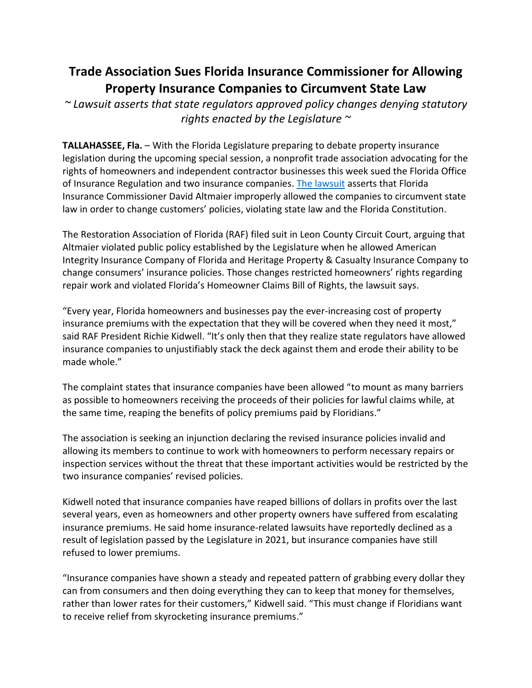## **Trade Association Sues Florida Insurance Commissioner for Allowing Property Insurance Companies to Circumvent State Law**

*~ Lawsuit asserts that state regulators approved policy changes denying statutory rights enacted by the Legislature ~*

**TALLAHASSEE, Fla.** – With the Florida Legislature preparing to debate property insurance legislation during the upcoming special session, a nonprofit trade association advocating for the rights of homeowners and independent contractor businesses this week sued the Florida Office of Insurance Regulation and two insurance companies. [The lawsuit](https://share.polymail.io/v1/z/b/NjI4M2FlMDdiM2Y3/xs2yLaZCnU9fn4U8W0xcYiBFrHUa023uhJOQn_YCTFEdotAqjRKpbQXf8mSdzUmtcMd488flsJEXHWBzdTL48JLLTI618MOwdTez6F-u2iMdCXou9Ejt-I08t1RXgU1RN04_tirJOXnv_NDJEjNqfYS4I5CCnUKHC5bfC9cOYgD3NJgGSNfllEAp6UZb9lWVS8N26zXBKKvB4YTfhuW_a7aGJYIrwRuW-5d0f-C1VDW3kOsd8PrINgFiqXdYROBBc5hMwZgUYr219-mLdE-chzHJxiMzdxD7SfFYvZ7s2BHcTN-7chjyDA==) asserts that Florida Insurance Commissioner David Altmaier improperly allowed the companies to circumvent state law in order to change customers' policies, violating state law and the Florida Constitution.

The Restoration Association of Florida (RAF) filed suit in Leon County Circuit Court, arguing that Altmaier violated public policy established by the Legislature when he allowed American Integrity Insurance Company of Florida and Heritage Property & Casualty Insurance Company to change consumers' insurance policies. Those changes restricted homeowners' rights regarding repair work and violated Florida's Homeowner Claims Bill of Rights, the lawsuit says.

"Every year, Florida homeowners and businesses pay the ever-increasing cost of property insurance premiums with the expectation that they will be covered when they need it most," said RAF President Richie Kidwell. "It's only then that they realize state regulators have allowed insurance companies to unjustifiably stack the deck against them and erode their ability to be made whole."

The complaint states that insurance companies have been allowed "to mount as many barriers as possible to homeowners receiving the proceeds of their policies for lawful claims while, at the same time, reaping the benefits of policy premiums paid by Floridians."

The association is seeking an injunction declaring the revised insurance policies invalid and allowing its members to continue to work with homeowners to perform necessary repairs or inspection services without the threat that these important activities would be restricted by the two insurance companies' revised policies.

Kidwell noted that insurance companies have reaped billions of dollars in profits over the last several years, even as homeowners and other property owners have suffered from escalating insurance premiums. He said home insurance-related lawsuits have reportedly declined as a result of legislation passed by the Legislature in 2021, but insurance companies have still refused to lower premiums.

"Insurance companies have shown a steady and repeated pattern of grabbing every dollar they can from consumers and then doing everything they can to keep that money for themselves, rather than lower rates for their customers," Kidwell said. "This must change if Floridians want to receive relief from skyrocketing insurance premiums."